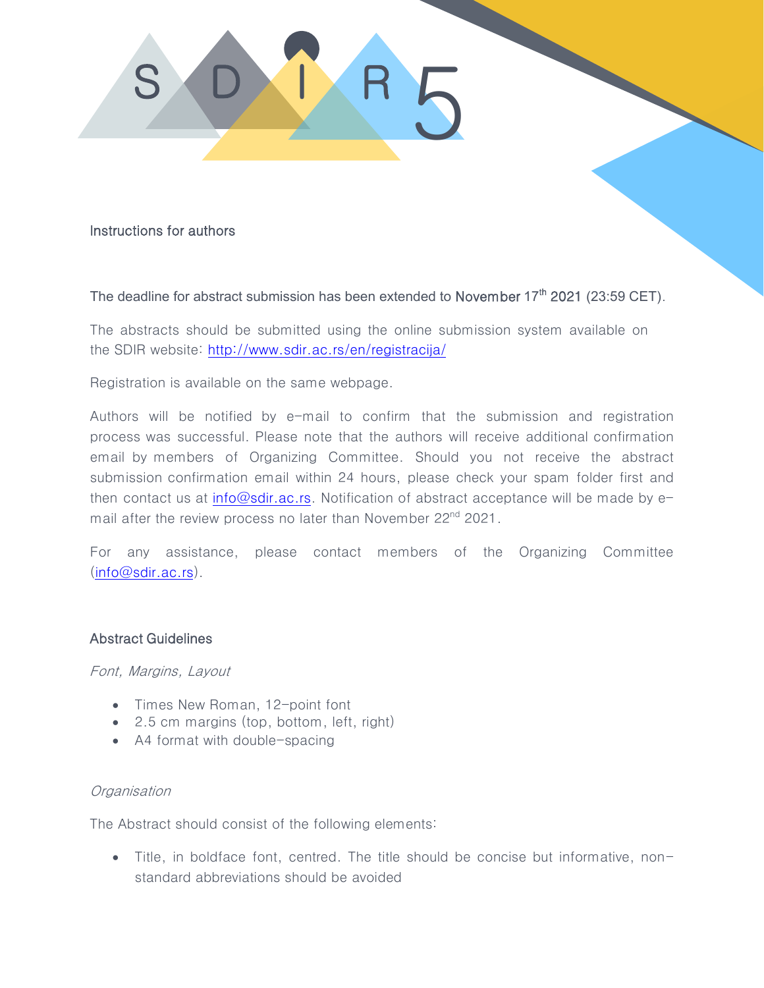

Instructions for authors

## The deadline for abstract submission has been extended to November 17<sup>th</sup> 2021 (23:59 CET).

The abstracts should be submitted using the online submission system available on the SDIR web[site: http://www.sdir.ac.rs/en/registrac](http://www.sdir.ac.rs/en/registracija/)ija/

Registration is available on the same webpage.

Authors will be notified by e-mail to confirm that the submission and registration process was successful. Please note that the authors will receive additional confirmation email by members of Organizing Committee. Should you not receive the abstract submission confirmation email within 24 hours, please check your spam folder first and then contact us at [info@sdir.ac.rs.](mailto:info@sdir.ac.rs) Notification of abstract acceptance will be made by email after the review process no later than November 22<sup>nd</sup> 2021.

For any assistance, please contact members of the Organizing Committee [\(info@sdir.ac.rs\)](mailto:info@sdir.ac.rs).

## Abstract Guidelines

Font, Margins, Layout

- Times New Roman, 12-point font
- 2.5 cm margins (top, bottom, left, right)
- A4 format with double-spacing

## **Organisation**

The Abstract should consist of the following elements:

 Title, in boldface font, centred. The title should be concise but informative, nonstandard abbreviations should be avoided